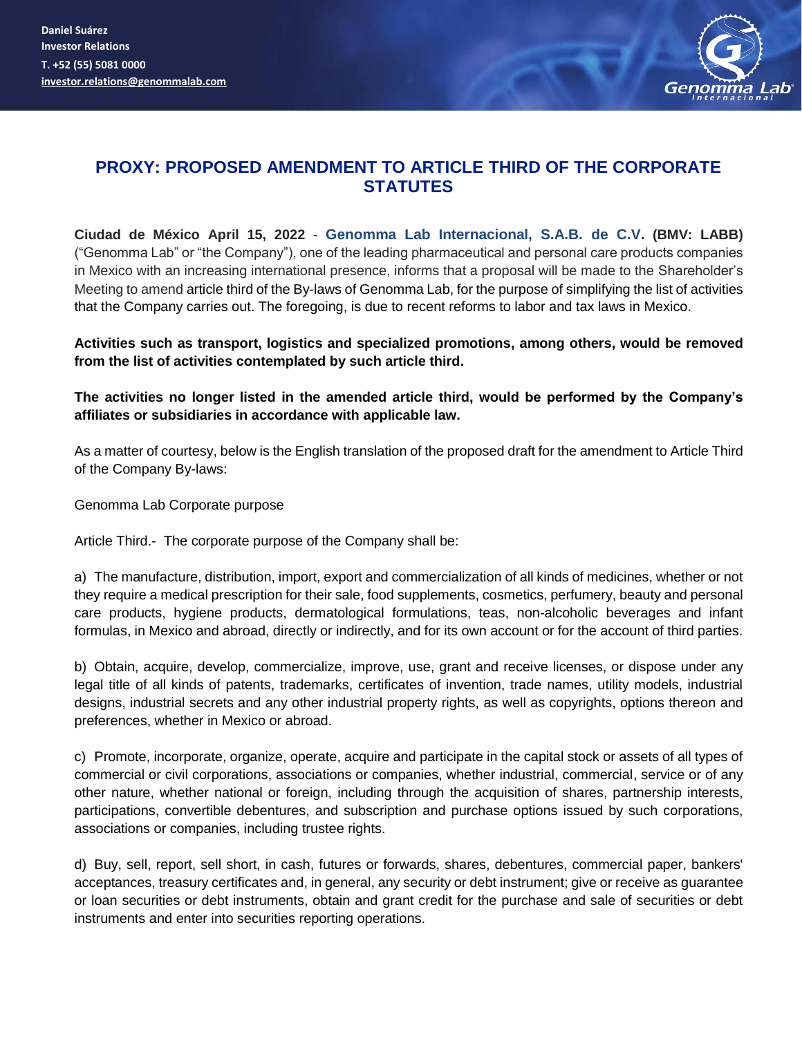**Daniel Suárez Investor Relations T. +52 (55) 5081 0000 [investor.relations@genommalab.com](mailto:inversion@genommalab.com)**



## **PROXY: PROPOSED AMENDMENT TO ARTICLE THIRD OF THE CORPORATE STATUTES**

**Ciudad de México April 15, 2022** - **Genomma Lab Internacional, S.A.B. de C.V. (BMV: LABB)** ("Genomma Lab" or "the Company"), one of the leading pharmaceutical and personal care products companies in Mexico with an increasing international presence, informs that a proposal will be made to the Shareholder's Meeting to amend article third of the By-laws of Genomma Lab, for the purpose of simplifying the list of activities that the Company carries out. The foregoing, is due to recent reforms to labor and tax laws in Mexico.

## **Activities such as transport, logistics and specialized promotions, among others, would be removed from the list of activities contemplated by such article third.**

**The activities no longer listed in the amended article third, would be performed by the Company's affiliates or subsidiaries in accordance with applicable law.**

As a matter of courtesy, below is the English translation of the proposed draft for the amendment to Article Third of the Company By-laws:

Genomma Lab Corporate purpose

Article Third.- The corporate purpose of the Company shall be:

a) The manufacture, distribution, import, export and commercialization of all kinds of medicines, whether or not they require a medical prescription for their sale, food supplements, cosmetics, perfumery, beauty and personal care products, hygiene products, dermatological formulations, teas, non-alcoholic beverages and infant formulas, in Mexico and abroad, directly or indirectly, and for its own account or for the account of third parties.

b) Obtain, acquire, develop, commercialize, improve, use, grant and receive licenses, or dispose under any legal title of all kinds of patents, trademarks, certificates of invention, trade names, utility models, industrial designs, industrial secrets and any other industrial property rights, as well as copyrights, options thereon and preferences, whether in Mexico or abroad.

c) Promote, incorporate, organize, operate, acquire and participate in the capital stock or assets of all types of commercial or civil corporations, associations or companies, whether industrial, commercial, service or of any other nature, whether national or foreign, including through the acquisition of shares, partnership interests, participations, convertible debentures, and subscription and purchase options issued by such corporations, associations or companies, including trustee rights.

d) Buy, sell, report, sell short, in cash, futures or forwards, shares, debentures, commercial paper, bankers' acceptances, treasury certificates and, in general, any security or debt instrument; give or receive as guarantee or loan securities or debt instruments, obtain and grant credit for the purchase and sale of securities or debt instruments and enter into securities reporting operations.